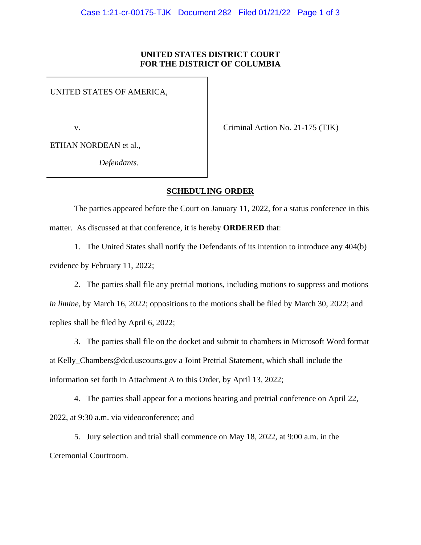## **UNITED STATES DISTRICT COURT FOR THE DISTRICT OF COLUMBIA**

UNITED STATES OF AMERICA,

v.

Criminal Action No. 21-175 (TJK)

ETHAN NORDEAN et al.,

*Defendants*.

## **SCHEDULING ORDER**

The parties appeared before the Court on January 11, 2022, for a status conference in this matter. As discussed at that conference, it is hereby **ORDERED** that:

1. The United States shall notify the Defendants of its intention to introduce any 404(b) evidence by February 11, 2022;

2. The parties shall file any pretrial motions, including motions to suppress and motions *in limine*, by March 16, 2022; oppositions to the motions shall be filed by March 30, 2022; and replies shall be filed by April 6, 2022;

3. The parties shall file on the docket and submit to chambers in Microsoft Word format at Kelly\_Chambers@dcd.uscourts.gov a Joint Pretrial Statement, which shall include the information set forth in Attachment A to this Order, by April 13, 2022;

4. The parties shall appear for a motions hearing and pretrial conference on April 22, 2022, at 9:30 a.m. via videoconference; and

5. Jury selection and trial shall commence on May 18, 2022, at 9:00 a.m. in the Ceremonial Courtroom.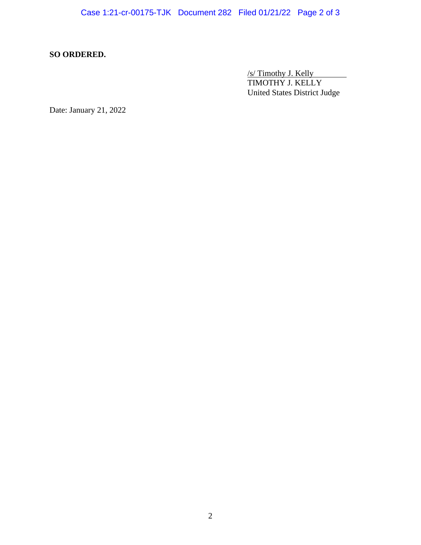## **SO ORDERED.**

/s/ Timothy J. Kelly TIMOTHY J. KELLY United States District Judge

Date: January 21, 2022